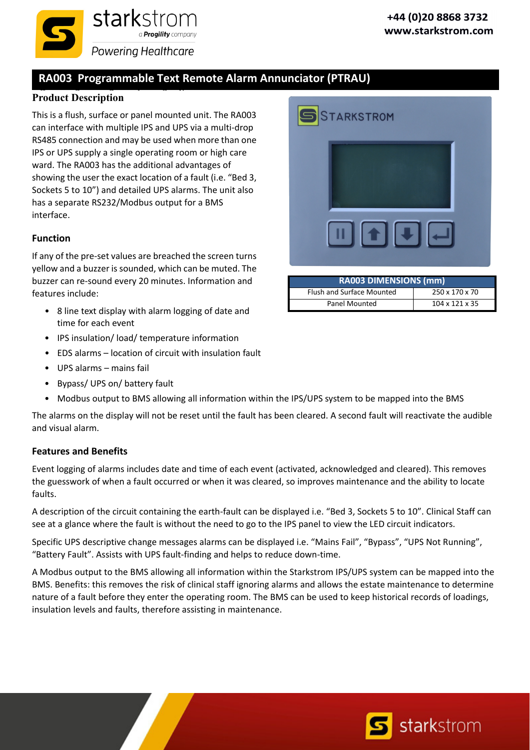

# **RA003 Programmable Text Remote Alarm Annunciator (PTRAU)**

### **Product Description**

This is a flush, surface or panel mounted unit. The RA003 can interface with multiple IPS and UPS via a multi‐drop RS485 connection and may be used when more than one IPS or UPS supply a single operating room or high care ward. The RA003 has the additional advantages of showing the user the exact location of a fault (i.e. "Bed 3, Sockets 5 to 10") and detailed UPS alarms. The unit also has a separate RS232/Modbus output for a BMS interface.

#### **Function**

If any of the pre‐set values are breached the screen turns yellow and a buzzer is sounded, which can be muted. The buzzer can re‐sound every 20 minutes. Information and features include:

- 8 line text display with alarm logging of date and time for each event
- IPS insulation/ load/ temperature information
- EDS alarms location of circuit with insulation fault
- UPS alarms mains fail
- Bypass/ UPS on/ battery fault
- Modbus output to BMS allowing all information within the IPS/UPS system to be mapped into the BMS

The alarms on the display will not be reset until the fault has been cleared. A second fault will reactivate the audible and visual alarm.

#### **Features and Benefits**

Event logging of alarms includes date and time of each event (activated, acknowledged and cleared). This removes the guesswork of when a fault occurred or when it was cleared, so improves maintenance and the ability to locate faults.

A description of the circuit containing the earth‐fault can be displayed i.e. "Bed 3, Sockets 5 to 10". Clinical Staff can see at a glance where the fault is without the need to go to the IPS panel to view the LED circuit indicators.

Specific UPS descriptive change messages alarms can be displayed i.e. "Mains Fail", "Bypass", "UPS Not Running", "Battery Fault". Assists with UPS fault‐finding and helps to reduce down‐time.

A Modbus output to the BMS allowing all information within the Starkstrom IPS/UPS system can be mapped into the BMS. Benefits: this removes the risk of clinical staff ignoring alarms and allows the estate maintenance to determine nature of a fault before they enter the operating room. The BMS can be used to keep historical records of loadings, insulation levels and faults, therefore assisting in maintenance.

| STARKSTROM                                   |  |
|----------------------------------------------|--|
|                                              |  |
|                                              |  |
| $\blacksquare$ $\blacksquare$ $\blacksquare$ |  |

| <b>RA003 DIMENSIONS (mm)</b> |                            |  |  |  |
|------------------------------|----------------------------|--|--|--|
| Flush and Surface Mounted    | 250 x 170 x 70             |  |  |  |
| Panel Mounted                | $104 \times 121 \times 35$ |  |  |  |